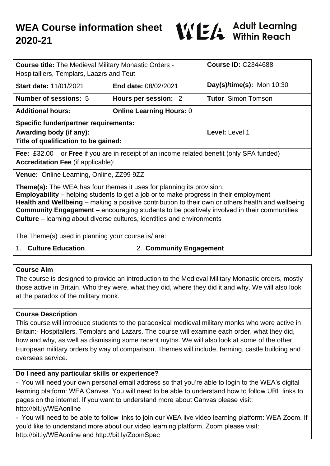

| <b>Course title:</b> The Medieval Military Monastic Orders -<br>Hospitalliers, Templars, Laazrs and Teut                                                                                                                                                                                                                                                                                                                                                                |                                 | <b>Course ID: C2344688</b>  |
|-------------------------------------------------------------------------------------------------------------------------------------------------------------------------------------------------------------------------------------------------------------------------------------------------------------------------------------------------------------------------------------------------------------------------------------------------------------------------|---------------------------------|-----------------------------|
| <b>Start date: 11/01/2021</b>                                                                                                                                                                                                                                                                                                                                                                                                                                           | <b>End date: 08/02/2021</b>     | Day(s)/time(s): Mon $10:30$ |
| Number of sessions: 5                                                                                                                                                                                                                                                                                                                                                                                                                                                   | Hours per session: 2            | <b>Tutor</b> Simon Tomson   |
| <b>Additional hours:</b>                                                                                                                                                                                                                                                                                                                                                                                                                                                | <b>Online Learning Hours: 0</b> |                             |
| <b>Specific funder/partner requirements:</b>                                                                                                                                                                                                                                                                                                                                                                                                                            |                                 |                             |
| Awarding body (if any):<br>Title of qualification to be gained:                                                                                                                                                                                                                                                                                                                                                                                                         |                                 | Level: Level 1              |
| or Free if you are in receipt of an income related benefit (only SFA funded)<br>Fee: $£32.00$<br><b>Accreditation Fee (if applicable):</b>                                                                                                                                                                                                                                                                                                                              |                                 |                             |
| Venue: Online Learning, Online, ZZ99 9ZZ                                                                                                                                                                                                                                                                                                                                                                                                                                |                                 |                             |
| <b>Theme(s):</b> The WEA has four themes it uses for planning its provision.<br><b>Employability</b> – helping students to get a job or to make progress in their employment<br>Health and Wellbeing – making a positive contribution to their own or others health and wellbeing<br><b>Community Engagement</b> – encouraging students to be positively involved in their communities<br><b>Culture</b> – learning about diverse cultures, identities and environments |                                 |                             |

The Theme(s) used in planning your course is/ are:

- 
- 1. **Culture Education** 2. **Community Engagement**

## **Course Aim**

The course is designed to provide an introduction to the Medieval Military Monastic orders, mostly those active in Britain. Who they were, what they did, where they did it and why. We will also look at the paradox of the military monk.

## **Course Description**

This course will introduce students to the paradoxical medieval military monks who were active in Britain:- Hospitallers, Templars and Lazars. The course will examine each order, what they did, how and why, as well as dismissing some recent myths. We will also look at some of the other European military orders by way of comparison. Themes will include, farming, castle building and overseas service.

# **Do I need any particular skills or experience?**

- You will need your own personal email address so that you're able to login to the WEA's digital learning platform: WEA Canvas. You will need to be able to understand how to follow URL links to pages on the internet. If you want to understand more about Canvas please visit: http://bit.ly/WEAonline

- You will need to be able to follow links to join our WEA live video learning platform: WEA Zoom. If you'd like to understand more about our video learning platform, Zoom please visit: http://bit.ly/WEAonline and http://bit.ly/ZoomSpec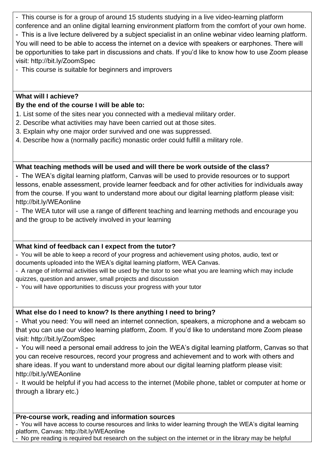- This course is for a group of around 15 students studying in a live video-learning platform conference and an online digital learning environment platform from the comfort of your own home.

- This is a live lecture delivered by a subject specialist in an online webinar video learning platform. You will need to be able to access the internet on a device with speakers or earphones. There will be opportunities to take part in discussions and chats. If you'd like to know how to use Zoom please visit: http://bit.ly/ZoomSpec

- This course is suitable for beginners and improvers

## **What will I achieve?**

## **By the end of the course I will be able to:**

- 1. List some of the sites near you connected with a medieval military order.
- 2. Describe what activities may have been carried out at those sites.
- 3. Explain why one major order survived and one was suppressed.
- 4. Describe how a (normally pacific) monastic order could fulfill a military role.

## **What teaching methods will be used and will there be work outside of the class?**

- The WEA's digital learning platform, Canvas will be used to provide resources or to support lessons, enable assessment, provide learner feedback and for other activities for individuals away from the course. If you want to understand more about our digital learning platform please visit: http://bit.ly/WEAonline

- The WEA tutor will use a range of different teaching and learning methods and encourage you and the group to be actively involved in your learning

# **What kind of feedback can I expect from the tutor?**

- You will be able to keep a record of your progress and achievement using photos, audio, text or documents uploaded into the WEA's digital learning platform, WEA Canvas.

- A range of informal activities will be used by the tutor to see what you are learning which may include quizzes, question and answer, small projects and discussion

- You will have opportunities to discuss your progress with your tutor

## **What else do I need to know? Is there anything I need to bring?**

- What you need: You will need an internet connection, speakers, a microphone and a webcam so that you can use our video learning platform, Zoom. If you'd like to understand more Zoom please visit: http://bit.ly/ZoomSpec

- You will need a personal email address to join the WEA's digital learning platform, Canvas so that you can receive resources, record your progress and achievement and to work with others and share ideas. If you want to understand more about our digital learning platform please visit: http://bit.ly/WEAonline

- It would be helpful if you had access to the internet (Mobile phone, tablet or computer at home or through a library etc.)

## **Pre-course work, reading and information sources**

- You will have access to course resources and links to wider learning through the WEA's digital learning platform, Canvas: http://bit.ly/WEAonline

- No pre reading is required but research on the subject on the internet or in the library may be helpful